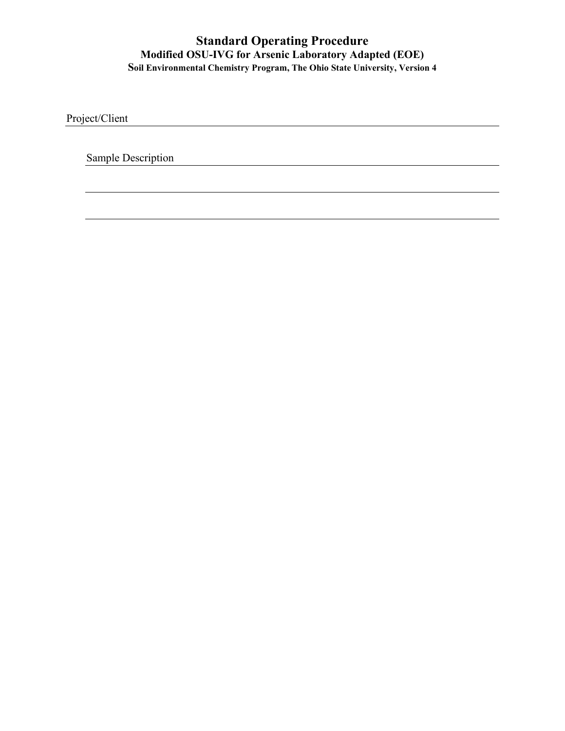Project/Client

Sample Description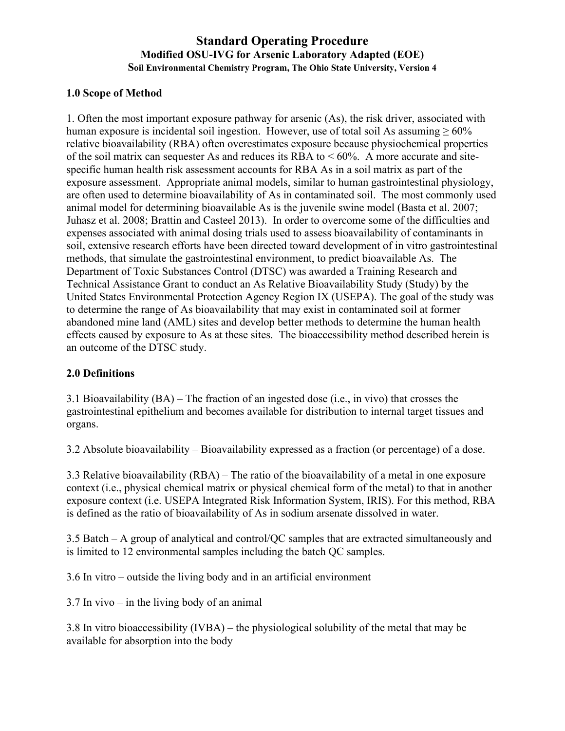### **1.0 Scope of Method**

1. Often the most important exposure pathway for arsenic (As), the risk driver, associated with human exposure is incidental soil ingestion. However, use of total soil As assuming  $\geq 60\%$ relative bioavailability (RBA) often overestimates exposure because physiochemical properties of the soil matrix can sequester As and reduces its RBA to  $< 60\%$ . A more accurate and sitespecific human health risk assessment accounts for RBA As in a soil matrix as part of the exposure assessment. Appropriate animal models, similar to human gastrointestinal physiology, are often used to determine bioavailability of As in contaminated soil. The most commonly used animal model for determining bioavailable As is the juvenile swine model (Basta et al. 2007; Juhasz et al. 2008; Brattin and Casteel 2013). In order to overcome some of the difficulties and expenses associated with animal dosing trials used to assess bioavailability of contaminants in soil, extensive research efforts have been directed toward development of in vitro gastrointestinal methods, that simulate the gastrointestinal environment, to predict bioavailable As. The Department of Toxic Substances Control (DTSC) was awarded a Training Research and Technical Assistance Grant to conduct an As Relative Bioavailability Study (Study) by the United States Environmental Protection Agency Region IX (USEPA). The goal of the study was to determine the range of As bioavailability that may exist in contaminated soil at former abandoned mine land (AML) sites and develop better methods to determine the human health effects caused by exposure to As at these sites. The bioaccessibility method described herein is an outcome of the DTSC study.

# **2.0 Definitions**

3.1 Bioavailability (BA) – The fraction of an ingested dose (i.e., in vivo) that crosses the gastrointestinal epithelium and becomes available for distribution to internal target tissues and organs.

3.2 Absolute bioavailability – Bioavailability expressed as a fraction (or percentage) of a dose.

3.3 Relative bioavailability (RBA) – The ratio of the bioavailability of a metal in one exposure context (i.e., physical chemical matrix or physical chemical form of the metal) to that in another exposure context (i.e. USEPA Integrated Risk Information System, IRIS). For this method, RBA is defined as the ratio of bioavailability of As in sodium arsenate dissolved in water.

3.5 Batch – A group of analytical and control/QC samples that are extracted simultaneously and is limited to 12 environmental samples including the batch QC samples.

3.6 In vitro – outside the living body and in an artificial environment

3.7 In vivo – in the living body of an animal

3.8 In vitro bioaccessibility (IVBA) – the physiological solubility of the metal that may be available for absorption into the body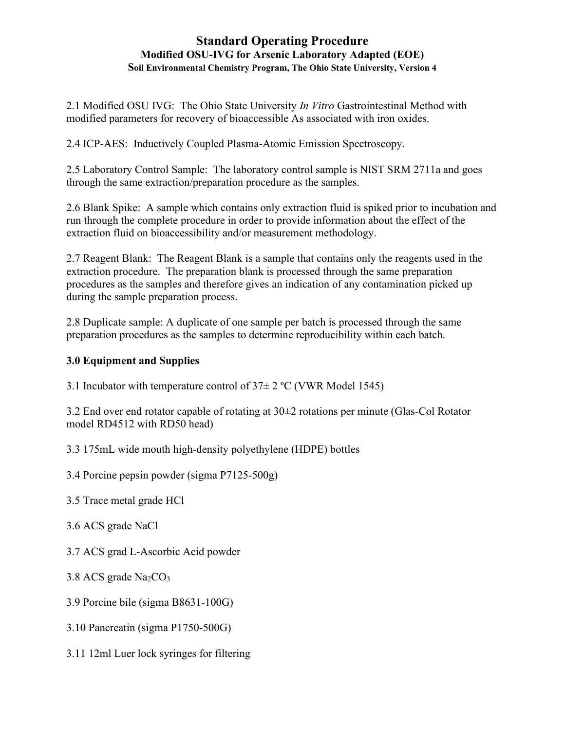2.1 Modified OSU IVG: The Ohio State University *In Vitro* Gastrointestinal Method with modified parameters for recovery of bioaccessible As associated with iron oxides.

2.4 ICP-AES: Inductively Coupled Plasma-Atomic Emission Spectroscopy.

2.5 Laboratory Control Sample: The laboratory control sample is NIST SRM 2711a and goes through the same extraction/preparation procedure as the samples.

2.6 Blank Spike: A sample which contains only extraction fluid is spiked prior to incubation and run through the complete procedure in order to provide information about the effect of the extraction fluid on bioaccessibility and/or measurement methodology.

2.7 Reagent Blank: The Reagent Blank is a sample that contains only the reagents used in the extraction procedure. The preparation blank is processed through the same preparation procedures as the samples and therefore gives an indication of any contamination picked up during the sample preparation process.

2.8 Duplicate sample: A duplicate of one sample per batch is processed through the same preparation procedures as the samples to determine reproducibility within each batch.

# **3.0 Equipment and Supplies**

3.1 Incubator with temperature control of  $37 \pm 2$  °C (VWR Model 1545)

3.2 End over end rotator capable of rotating at 30±2 rotations per minute (Glas-Col Rotator model RD4512 with RD50 head)

3.3 175mL wide mouth high-density polyethylene (HDPE) bottles

3.4 Porcine pepsin powder (sigma P7125-500g)

3.5 Trace metal grade HCl

3.6 ACS grade NaCl

3.7 ACS grad L-Ascorbic Acid powder

3.8 ACS grade  $Na<sub>2</sub>CO<sub>3</sub>$ 

3.9 Porcine bile (sigma B8631-100G)

3.10 Pancreatin (sigma P1750-500G)

3.11 12ml Luer lock syringes for filtering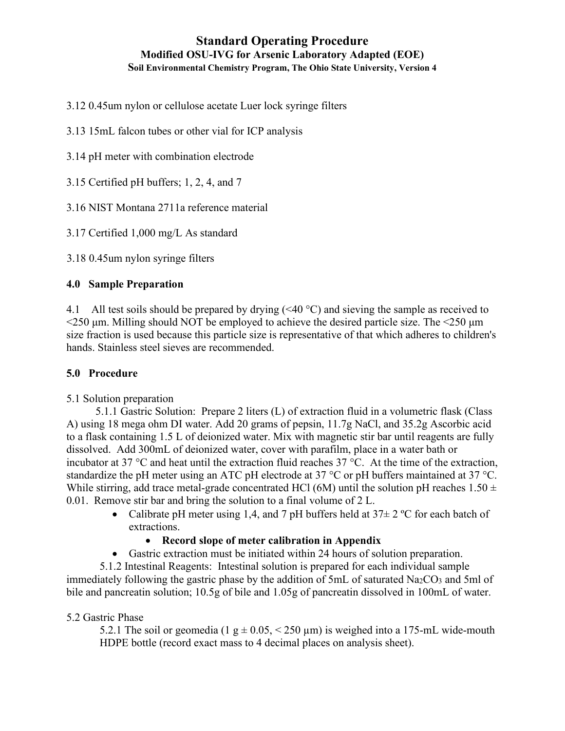- 3.12 0.45um nylon or cellulose acetate Luer lock syringe filters
- 3.13 15mL falcon tubes or other vial for ICP analysis
- 3.14 pH meter with combination electrode
- 3.15 Certified pH buffers; 1, 2, 4, and 7
- 3.16 NIST Montana 2711a reference material
- 3.17 Certified 1,000 mg/L As standard
- 3.18 0.45um nylon syringe filters

### **4.0 Sample Preparation**

4.1 All test soils should be prepared by drying  $( $40^{\circ}$ C)$  and sieving the sample as received to  $\leq$ 250 μm. Milling should NOT be employed to achieve the desired particle size. The  $\leq$ 250 μm size fraction is used because this particle size is representative of that which adheres to children's hands. Stainless steel sieves are recommended.

#### **5.0 Procedure**

#### 5.1 Solution preparation

5.1.1 Gastric Solution: Prepare 2 liters (L) of extraction fluid in a volumetric flask (Class A) using 18 mega ohm DI water. Add 20 grams of pepsin, 11.7g NaCl, and 35.2g Ascorbic acid to a flask containing 1.5 L of deionized water. Mix with magnetic stir bar until reagents are fully dissolved. Add 300mL of deionized water, cover with parafilm, place in a water bath or incubator at 37 °C and heat until the extraction fluid reaches 37 °C. At the time of the extraction, standardize the pH meter using an ATC pH electrode at 37 °C or pH buffers maintained at 37 °C. While stirring, add trace metal-grade concentrated HCl (6M) until the solution pH reaches  $1.50 \pm 1.50 \pm 1.50 \pm 1.50 \pm 1.50 \pm 1.50 \pm 1.50 \pm 1.50 \pm 1.50 \pm 1.50 \pm 1.50 \pm 1.50 \pm 1.50 \pm 1.50 \pm 1.50 \pm 1.50 \pm 1.50 \pm 1.50 \pm 1.50$ 0.01. Remove stir bar and bring the solution to a final volume of 2 L.

- Calibrate pH meter using 1,4, and 7 pH buffers held at  $37\pm 2$  °C for each batch of extractions.
	- **Record slope of meter calibration in Appendix**
- Gastric extraction must be initiated within 24 hours of solution preparation.

5.1.2 Intestinal Reagents: Intestinal solution is prepared for each individual sample immediately following the gastric phase by the addition of 5mL of saturated  $Na<sub>2</sub>CO<sub>3</sub>$  and 5ml of bile and pancreatin solution; 10.5g of bile and 1.05g of pancreatin dissolved in 100mL of water.

#### 5.2 Gastric Phase

5.2.1 The soil or geomedia (1 g  $\pm$  0.05, < 250 µm) is weighed into a 175-mL wide-mouth HDPE bottle (record exact mass to 4 decimal places on analysis sheet).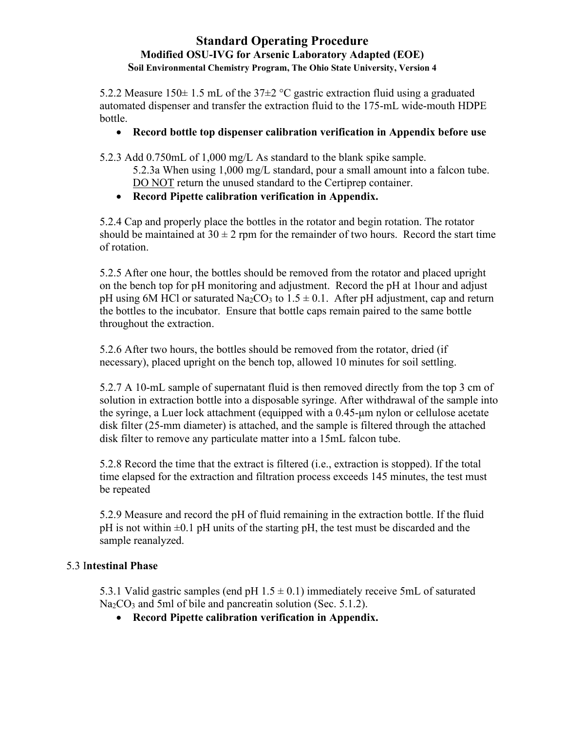5.2.2 Measure 150 $\pm$  1.5 mL of the 37 $\pm$ 2 °C gastric extraction fluid using a graduated automated dispenser and transfer the extraction fluid to the 175-mL wide-mouth HDPE bottle.

# • **Record bottle top dispenser calibration verification in Appendix before use**

5.2.3 Add 0.750mL of 1,000 mg/L As standard to the blank spike sample.

- 5.2.3a When using 1,000 mg/L standard, pour a small amount into a falcon tube. DO NOT return the unused standard to the Certiprep container.
- **Record Pipette calibration verification in Appendix.**

5.2.4 Cap and properly place the bottles in the rotator and begin rotation. The rotator should be maintained at  $30 \pm 2$  rpm for the remainder of two hours. Record the start time of rotation.

5.2.5 After one hour, the bottles should be removed from the rotator and placed upright on the bench top for pH monitoring and adjustment. Record the pH at 1hour and adjust pH using 6M HCl or saturated Na<sub>2</sub>CO<sub>3</sub> to  $1.5 \pm 0.1$ . After pH adjustment, cap and return the bottles to the incubator. Ensure that bottle caps remain paired to the same bottle throughout the extraction.

5.2.6 After two hours, the bottles should be removed from the rotator, dried (if necessary), placed upright on the bench top, allowed 10 minutes for soil settling.

5.2.7 A 10-mL sample of supernatant fluid is then removed directly from the top 3 cm of solution in extraction bottle into a disposable syringe. After withdrawal of the sample into the syringe, a Luer lock attachment (equipped with a 0.45-μm nylon or cellulose acetate disk filter (25-mm diameter) is attached, and the sample is filtered through the attached disk filter to remove any particulate matter into a 15mL falcon tube.

5.2.8 Record the time that the extract is filtered (i.e., extraction is stopped). If the total time elapsed for the extraction and filtration process exceeds 145 minutes, the test must be repeated

5.2.9 Measure and record the pH of fluid remaining in the extraction bottle. If the fluid  $pH$  is not within  $\pm 0.1$  pH units of the starting pH, the test must be discarded and the sample reanalyzed.

# 5.3 I**ntestinal Phase**

5.3.1 Valid gastric samples (end pH  $1.5 \pm 0.1$ ) immediately receive 5mL of saturated Na<sub>2</sub>CO<sub>3</sub> and 5ml of bile and pancreatin solution (Sec. 5.1.2).

• **Record Pipette calibration verification in Appendix.**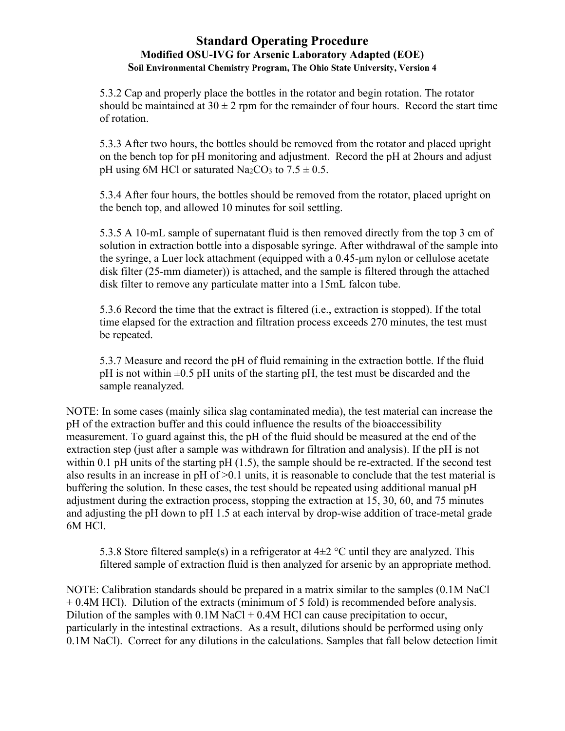5.3.2 Cap and properly place the bottles in the rotator and begin rotation. The rotator should be maintained at  $30 \pm 2$  rpm for the remainder of four hours. Record the start time of rotation.

5.3.3 After two hours, the bottles should be removed from the rotator and placed upright on the bench top for pH monitoring and adjustment. Record the pH at 2hours and adjust pH using 6M HCl or saturated Na<sub>2</sub>CO<sub>3</sub> to  $7.5 \pm 0.5$ .

5.3.4 After four hours, the bottles should be removed from the rotator, placed upright on the bench top, and allowed 10 minutes for soil settling.

5.3.5 A 10-mL sample of supernatant fluid is then removed directly from the top 3 cm of solution in extraction bottle into a disposable syringe. After withdrawal of the sample into the syringe, a Luer lock attachment (equipped with a 0.45-μm nylon or cellulose acetate disk filter (25-mm diameter)) is attached, and the sample is filtered through the attached disk filter to remove any particulate matter into a 15mL falcon tube.

5.3.6 Record the time that the extract is filtered (i.e., extraction is stopped). If the total time elapsed for the extraction and filtration process exceeds 270 minutes, the test must be repeated.

5.3.7 Measure and record the pH of fluid remaining in the extraction bottle. If the fluid  $pH$  is not within  $\pm 0.5$  pH units of the starting pH, the test must be discarded and the sample reanalyzed.

NOTE: In some cases (mainly silica slag contaminated media), the test material can increase the pH of the extraction buffer and this could influence the results of the bioaccessibility measurement. To guard against this, the pH of the fluid should be measured at the end of the extraction step (just after a sample was withdrawn for filtration and analysis). If the pH is not within 0.1 pH units of the starting pH (1.5), the sample should be re-extracted. If the second test also results in an increase in pH of >0.1 units, it is reasonable to conclude that the test material is buffering the solution. In these cases, the test should be repeated using additional manual pH adjustment during the extraction process, stopping the extraction at 15, 30, 60, and 75 minutes and adjusting the pH down to pH 1.5 at each interval by drop-wise addition of trace-metal grade 6M HCl.

5.3.8 Store filtered sample(s) in a refrigerator at  $4\pm 2$  °C until they are analyzed. This filtered sample of extraction fluid is then analyzed for arsenic by an appropriate method.

NOTE: Calibration standards should be prepared in a matrix similar to the samples (0.1M NaCl + 0.4M HCl). Dilution of the extracts (minimum of 5 fold) is recommended before analysis. Dilution of the samples with  $0.1M$  NaCl + 0.4M HCl can cause precipitation to occur, particularly in the intestinal extractions. As a result, dilutions should be performed using only 0.1M NaCl). Correct for any dilutions in the calculations. Samples that fall below detection limit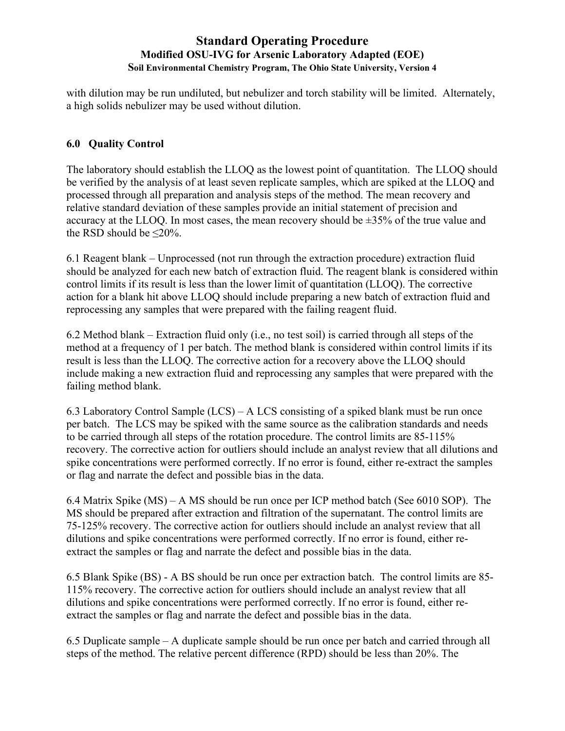with dilution may be run undiluted, but nebulizer and torch stability will be limited. Alternately, a high solids nebulizer may be used without dilution.

## **6.0 Quality Control**

The laboratory should establish the LLOQ as the lowest point of quantitation. The LLOQ should be verified by the analysis of at least seven replicate samples, which are spiked at the LLOQ and processed through all preparation and analysis steps of the method. The mean recovery and relative standard deviation of these samples provide an initial statement of precision and accuracy at the LLOQ. In most cases, the mean recovery should be ±35% of the true value and the RSD should be  $\leq$ 20%.

6.1 Reagent blank – Unprocessed (not run through the extraction procedure) extraction fluid should be analyzed for each new batch of extraction fluid. The reagent blank is considered within control limits if its result is less than the lower limit of quantitation (LLOQ). The corrective action for a blank hit above LLOQ should include preparing a new batch of extraction fluid and reprocessing any samples that were prepared with the failing reagent fluid.

6.2 Method blank – Extraction fluid only (i.e., no test soil) is carried through all steps of the method at a frequency of 1 per batch. The method blank is considered within control limits if its result is less than the LLOQ. The corrective action for a recovery above the LLOQ should include making a new extraction fluid and reprocessing any samples that were prepared with the failing method blank.

6.3 Laboratory Control Sample (LCS) – A LCS consisting of a spiked blank must be run once per batch. The LCS may be spiked with the same source as the calibration standards and needs to be carried through all steps of the rotation procedure. The control limits are 85-115% recovery. The corrective action for outliers should include an analyst review that all dilutions and spike concentrations were performed correctly. If no error is found, either re-extract the samples or flag and narrate the defect and possible bias in the data.

6.4 Matrix Spike (MS) – A MS should be run once per ICP method batch (See 6010 SOP). The MS should be prepared after extraction and filtration of the supernatant. The control limits are 75-125% recovery. The corrective action for outliers should include an analyst review that all dilutions and spike concentrations were performed correctly. If no error is found, either reextract the samples or flag and narrate the defect and possible bias in the data.

6.5 Blank Spike (BS) - A BS should be run once per extraction batch. The control limits are 85- 115% recovery. The corrective action for outliers should include an analyst review that all dilutions and spike concentrations were performed correctly. If no error is found, either reextract the samples or flag and narrate the defect and possible bias in the data.

6.5 Duplicate sample – A duplicate sample should be run once per batch and carried through all steps of the method. The relative percent difference (RPD) should be less than 20%. The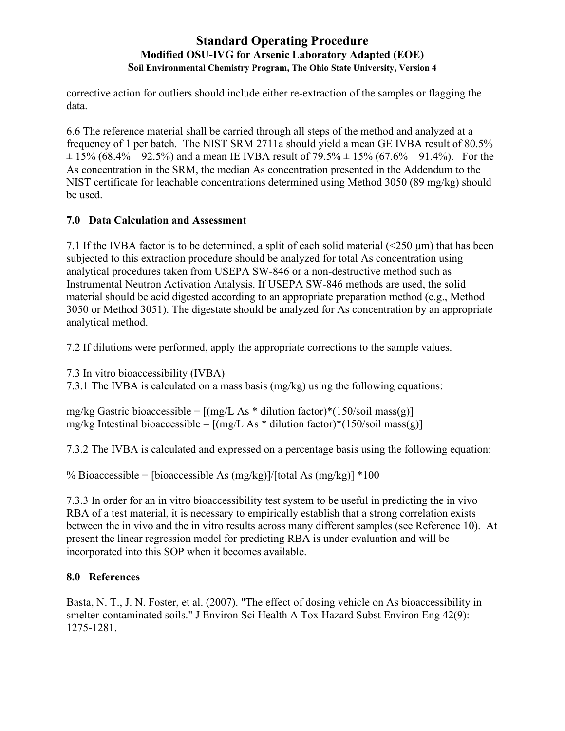corrective action for outliers should include either re-extraction of the samples or flagging the data.

6.6 The reference material shall be carried through all steps of the method and analyzed at a frequency of 1 per batch. The NIST SRM 2711a should yield a mean GE IVBA result of 80.5%  $\pm$  15% (68.4% – 92.5%) and a mean IE IVBA result of 79.5%  $\pm$  15% (67.6% – 91.4%). For the As concentration in the SRM, the median As concentration presented in the Addendum to the NIST certificate for leachable concentrations determined using Method 3050 (89 mg/kg) should be used.

# **7.0 Data Calculation and Assessment**

7.1 If the IVBA factor is to be determined, a split of each solid material (<250 μm) that has been subjected to this extraction procedure should be analyzed for total As concentration using analytical procedures taken from USEPA SW-846 or a non-destructive method such as Instrumental Neutron Activation Analysis. If USEPA SW-846 methods are used, the solid material should be acid digested according to an appropriate preparation method (e.g., Method 3050 or Method 3051). The digestate should be analyzed for As concentration by an appropriate analytical method.

7.2 If dilutions were performed, apply the appropriate corrections to the sample values.

7.3 In vitro bioaccessibility (IVBA)

7.3.1 The IVBA is calculated on a mass basis (mg/kg) using the following equations:

mg/kg Gastric bioaccessible =  $[(mg/L As * dilution factor)*(150/soil mass(g))]$ mg/kg Intestinal bioaccessible =  $[(mg/L As * dilution factor)*(150/soil mass(g)]$ 

7.3.2 The IVBA is calculated and expressed on a percentage basis using the following equation:

% Bioaccessible = [bioaccessible As  $(mg/kg)/[total\ As\ (mg/kg)] *100$ 

7.3.3 In order for an in vitro bioaccessibility test system to be useful in predicting the in vivo RBA of a test material, it is necessary to empirically establish that a strong correlation exists between the in vivo and the in vitro results across many different samples (see Reference 10). At present the linear regression model for predicting RBA is under evaluation and will be incorporated into this SOP when it becomes available.

# **8.0 References**

Basta, N. T., J. N. Foster, et al. (2007). "The effect of dosing vehicle on As bioaccessibility in smelter-contaminated soils." J Environ Sci Health A Tox Hazard Subst Environ Eng 42(9): 1275-1281.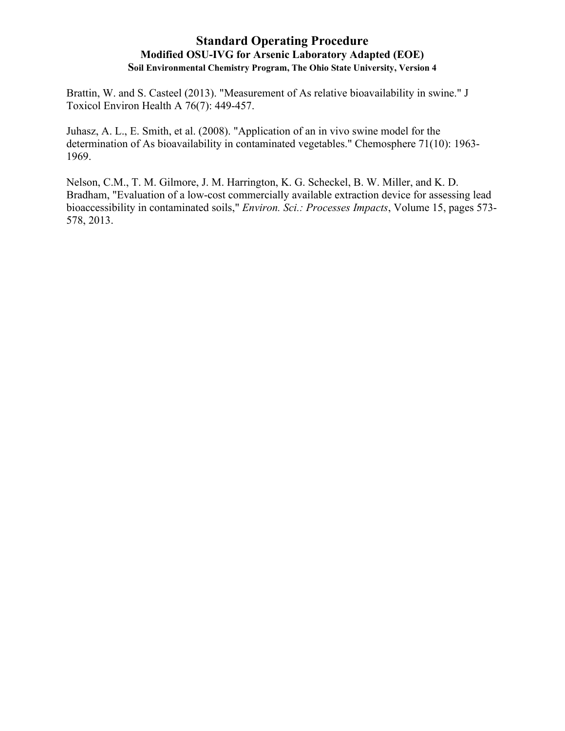Brattin, W. and S. Casteel (2013). "Measurement of As relative bioavailability in swine." J Toxicol Environ Health A 76(7): 449-457.

Juhasz, A. L., E. Smith, et al. (2008). "Application of an in vivo swine model for the determination of As bioavailability in contaminated vegetables." Chemosphere 71(10): 1963- 1969.

Nelson, C.M., T. M. Gilmore, J. M. Harrington, K. G. Scheckel, B. W. Miller, and K. D. Bradham, "Evaluation of a low-cost commercially available extraction device for assessing lead bioaccessibility in contaminated soils," *Environ. Sci.: Processes Impacts*, Volume 15, pages 573- 578, 2013.